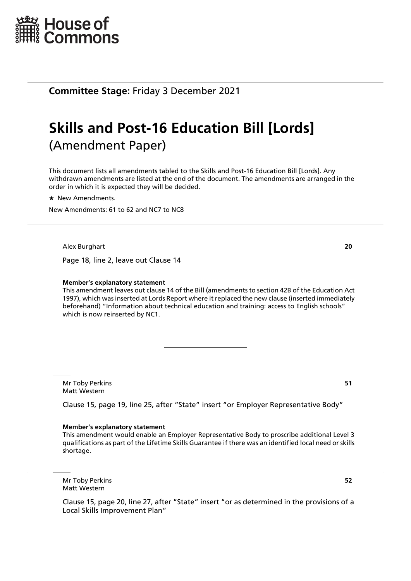

# **Skills and Post-16 Education Bill [Lords]** (Amendment Paper)

This document lists all amendments tabled to the Skills and Post-16 Education Bill [Lords]. Any withdrawn amendments are listed at the end of the document. The amendments are arranged in the order in which it is expected they will be decided.

 $\star$  New Amendments.

New Amendments: 61 to 62 and NC7 to NC8

Alex Burghart **20**

Page 18, line 2, leave out Clause 14

#### **Member's explanatory statement**

This amendment leaves out clause 14 of the Bill (amendments to section 42B of the Education Act 1997), which was inserted at Lords Report where it replaced the new clause (inserted immediately beforehand) "Information about technical education and training: access to English schools" which is now reinserted by NC1.

Mr Toby Perkins **51** Matt Western

Clause 15, page 19, line 25, after "State" insert "or Employer Representative Body"

#### **Member's explanatory statement**

This amendment would enable an Employer Representative Body to proscribe additional Level 3 qualifications as part of the Lifetime Skills Guarantee if there was an identified local need or skills shortage.

Mr Toby Perkins **52** Matt Western

Clause 15, page 20, line 27, after "State" insert "or as determined in the provisions of a Local Skills Improvement Plan"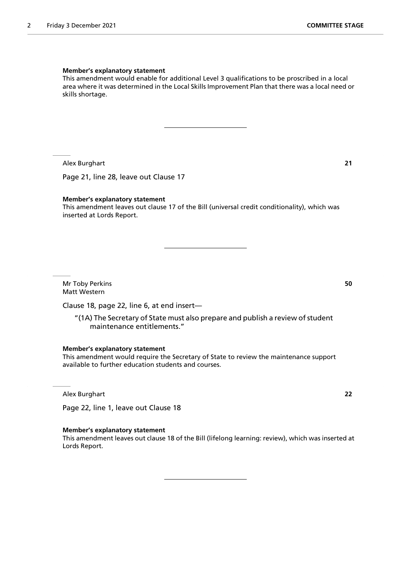#### **Member's explanatory statement**

This amendment would enable for additional Level 3 qualifications to be proscribed in a local area where it was determined in the Local Skills Improvement Plan that there was a local need or skills shortage.

Alex Burghart **21**

Page 21, line 28, leave out Clause 17

#### **Member's explanatory statement**

This amendment leaves out clause 17 of the Bill (universal credit conditionality), which was inserted at Lords Report.

Mr Toby Perkins **50** Matt Western

Clause 18, page 22, line 6, at end insert—

"(1A) The Secretary of State must also prepare and publish a review of student maintenance entitlements."

**Member's explanatory statement**

This amendment would require the Secretary of State to review the maintenance support available to further education students and courses.

Alex Burghart **22**

Page 22, line 1, leave out Clause 18

#### **Member's explanatory statement**

This amendment leaves out clause 18 of the Bill (lifelong learning: review), which was inserted at Lords Report.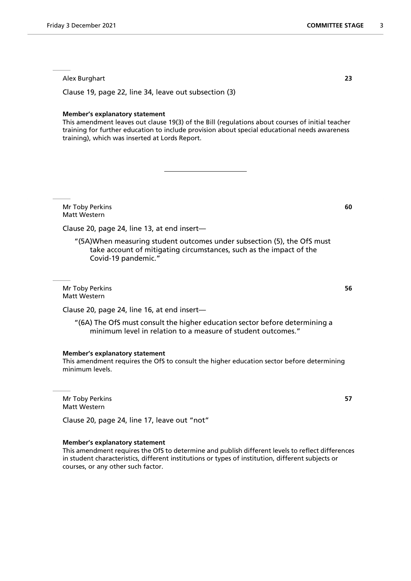Alex Burghart **23**

Clause 19, page 22, line 34, leave out subsection (3)

#### **Member's explanatory statement**

This amendment leaves out clause 19(3) of the Bill (regulations about courses of initial teacher training for further education to include provision about special educational needs awareness training), which was inserted at Lords Report.

Mr Toby Perkins **60** Matt Western

Clause 20, page 24, line 13, at end insert—

"(5A)When measuring student outcomes under subsection (5), the OfS must take account of mitigating circumstances, such as the impact of the Covid-19 pandemic."

Mr Toby Perkins **56** Matt Western

Clause 20, page 24, line 16, at end insert—

"(6A) The OfS must consult the higher education sector before determining a minimum level in relation to a measure of student outcomes."

#### **Member's explanatory statement**

This amendment requires the OfS to consult the higher education sector before determining minimum levels.

Mr Toby Perkins **57** Matt Western

Clause 20, page 24, line 17, leave out "not"

#### **Member's explanatory statement**

This amendment requires the OfS to determine and publish different levels to reflect differences in student characteristics, different institutions or types of institution, different subjects or courses, or any other such factor.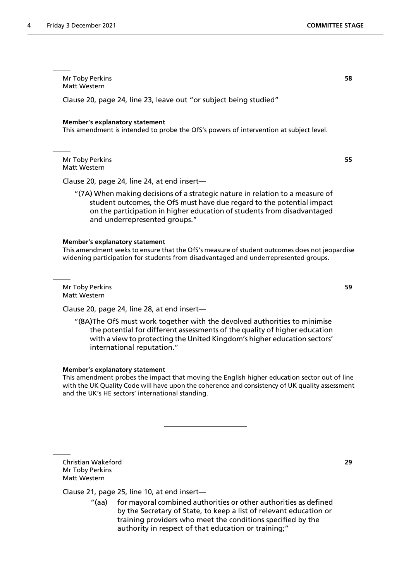Mr Toby Perkins **58** Matt Western

Clause 20, page 24, line 23, leave out "or subject being studied"

#### **Member's explanatory statement**

This amendment is intended to probe the OfS's powers of intervention at subject level.

Mr Toby Perkins **55** Matt Western

Clause 20, page 24, line 24, at end insert—

"(7A) When making decisions of a strategic nature in relation to a measure of student outcomes, the OfS must have due regard to the potential impact on the participation in higher education of students from disadvantaged and underrepresented groups."

#### **Member's explanatory statement**

This amendment seeks to ensure that the OfS's measure of student outcomes does not jeopardise widening participation for students from disadvantaged and underrepresented groups.

Mr Toby Perkins **59** Matt Western

Clause 20, page 24, line 28, at end insert—

"(8A)The OfS must work together with the devolved authorities to minimise the potential for different assessments of the quality of higher education with a view to protecting the United Kingdom's higher education sectors' international reputation."

#### **Member's explanatory statement**

This amendment probes the impact that moving the English higher education sector out of line with the UK Quality Code will have upon the coherence and consistency of UK quality assessment and the UK's HE sectors' international standing.

Christian Wakeford **29** Mr Toby Perkins Matt Western

### Clause 21, page 25, line 10, at end insert—

"(aa) for mayoral combined authorities or other authorities as defined by the Secretary of State, to keep a list of relevant education or training providers who meet the conditions specified by the authority in respect of that education or training;"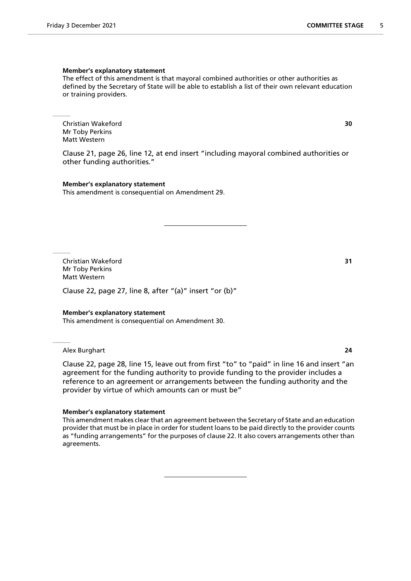#### **Member's explanatory statement**

The effect of this amendment is that mayoral combined authorities or other authorities as defined by the Secretary of State will be able to establish a list of their own relevant education or training providers.

Christian Wakeford **30** Mr Toby Perkins Matt Western

Clause 21, page 26, line 12, at end insert "including mayoral combined authorities or other funding authorities."

**Member's explanatory statement** This amendment is consequential on Amendment 29.

Christian Wakeford **31** Mr Toby Perkins Matt Western

Clause 22, page 27, line 8, after "(a)" insert "or (b)"

#### **Member's explanatory statement**

This amendment is consequential on Amendment 30.

Alex Burghart **24**

Clause 22, page 28, line 15, leave out from first "to" to "paid" in line 16 and insert "an agreement for the funding authority to provide funding to the provider includes a reference to an agreement or arrangements between the funding authority and the provider by virtue of which amounts can or must be"

#### **Member's explanatory statement**

This amendment makes clear that an agreement between the Secretary of State and an education provider that must be in place in order for student loans to be paid directly to the provider counts as "funding arrangements" for the purposes of clause 22. It also covers arrangements other than agreements.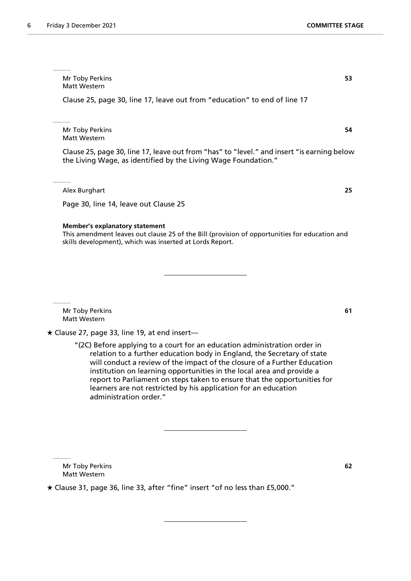Mr Toby Perkins **53** Matt Western

Clause 25, page 30, line 17, leave out from "education" to end of line 17

Mr Toby Perkins **54** Matt Western

Clause 25, page 30, line 17, leave out from "has" to "level." and insert "is earning below the Living Wage, as identified by the Living Wage Foundation."

Alex Burghart **25**

Page 30, line 14, leave out Clause 25

#### **Member's explanatory statement**

This amendment leaves out clause 25 of the Bill (provision of opportunities for education and skills development), which was inserted at Lords Report.

Mr Toby Perkins **61** Matt Western

 $\star$  Clause 27, page 33, line 19, at end insert—

"(2C) Before applying to a court for an education administration order in relation to a further education body in England, the Secretary of state will conduct a review of the impact of the closure of a Further Education institution on learning opportunities in the local area and provide a report to Parliament on steps taken to ensure that the opportunities for learners are not restricted by his application for an education administration order."

Mr Toby Perkins **62** Matt Western

Clause 31, page 36, line 33, after "fine" insert "of no less than £5,000."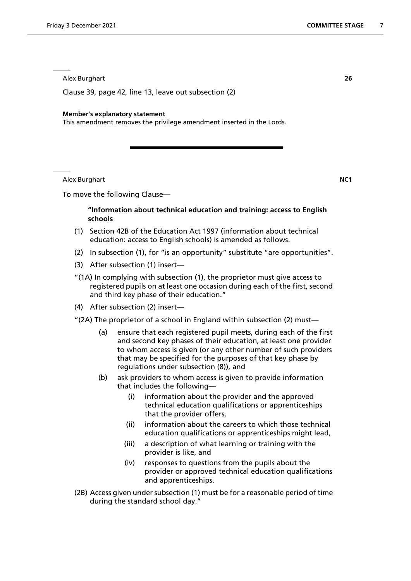Alex Burghart **26**

Clause 39, page 42, line 13, leave out subsection (2)

#### **Member's explanatory statement**

This amendment removes the privilege amendment inserted in the Lords.

Alex Burghart **NC1**

To move the following Clause—

# **"Information about technical education and training: access to English schools**

- (1) Section 42B of the Education Act 1997 (information about technical education: access to English schools) is amended as follows.
- (2) In subsection (1), for "is an opportunity" substitute "are opportunities".
- (3) After subsection (1) insert—
- "(1A) In complying with subsection (1), the proprietor must give access to registered pupils on at least one occasion during each of the first, second and third key phase of their education."
- (4) After subsection (2) insert—
- "(2A) The proprietor of a school in England within subsection (2) must—
	- (a) ensure that each registered pupil meets, during each of the first and second key phases of their education, at least one provider to whom access is given (or any other number of such providers that may be specified for the purposes of that key phase by regulations under subsection (8)), and
	- (b) ask providers to whom access is given to provide information that includes the following—
		- (i) information about the provider and the approved technical education qualifications or apprenticeships that the provider offers,
		- (ii) information about the careers to which those technical education qualifications or apprenticeships might lead,
		- (iii) a description of what learning or training with the provider is like, and
		- (iv) responses to questions from the pupils about the provider or approved technical education qualifications and apprenticeships.
- (2B) Access given under subsection (1) must be for a reasonable period of time during the standard school day."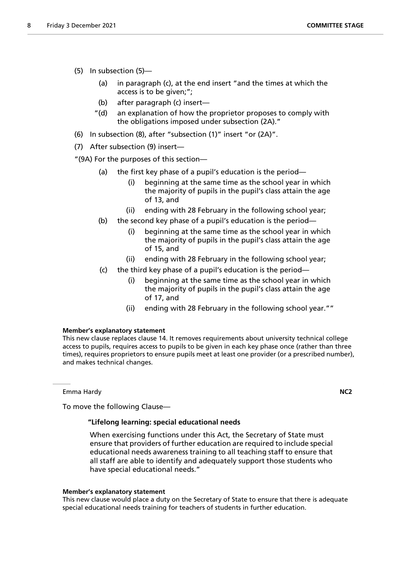- (5) In subsection (5)—
	- (a) in paragraph (c), at the end insert "and the times at which the access is to be given;";
	- (b) after paragraph (c) insert—
	- "(d) an explanation of how the proprietor proposes to comply with the obligations imposed under subsection (2A)."
- (6) In subsection (8), after "subsection (1)" insert "or (2A)".
- (7) After subsection (9) insert—

"(9A) For the purposes of this section—

- (a) the first key phase of a pupil's education is the period—
	- (i) beginning at the same time as the school year in which the majority of pupils in the pupil's class attain the age of 13, and
	- (ii) ending with 28 February in the following school year;
- (b) the second key phase of a pupil's education is the period—
	- (i) beginning at the same time as the school year in which the majority of pupils in the pupil's class attain the age of 15, and
	- (ii) ending with 28 February in the following school year;
- (c) the third key phase of a pupil's education is the period—
	- (i) beginning at the same time as the school year in which the majority of pupils in the pupil's class attain the age of 17, and
	- (ii) ending with 28 February in the following school year.""

# **Member's explanatory statement**

This new clause replaces clause 14. It removes requirements about university technical college access to pupils, requires access to pupils to be given in each key phase once (rather than three times), requires proprietors to ensure pupils meet at least one provider (or a prescribed number), and makes technical changes.

Emma Hardy **NC2**

To move the following Clause—

# **"Lifelong learning: special educational needs**

 When exercising functions under this Act, the Secretary of State must ensure that providers of further education are required to include special educational needs awareness training to all teaching staff to ensure that all staff are able to identify and adequately support those students who have special educational needs."

#### **Member's explanatory statement**

This new clause would place a duty on the Secretary of State to ensure that there is adequate special educational needs training for teachers of students in further education.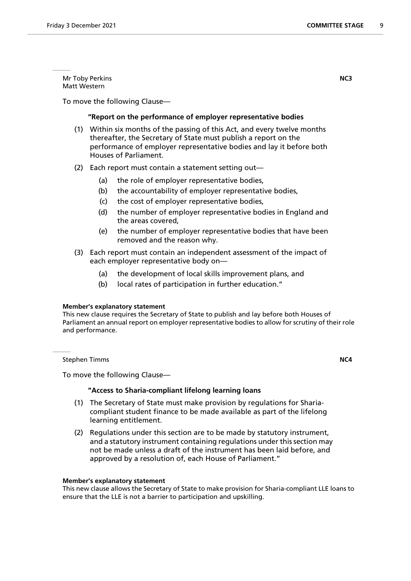Mr Toby Perkins **NC3** Matt Western

To move the following Clause—

# **"Report on the performance of employer representative bodies**

- (1) Within six months of the passing of this Act, and every twelve months thereafter, the Secretary of State must publish a report on the performance of employer representative bodies and lay it before both Houses of Parliament.
- (2) Each report must contain a statement setting out—
	- (a) the role of employer representative bodies,
	- (b) the accountability of employer representative bodies,
	- (c) the cost of employer representative bodies,
	- (d) the number of employer representative bodies in England and the areas covered,
	- (e) the number of employer representative bodies that have been removed and the reason why.
- (3) Each report must contain an independent assessment of the impact of each employer representative body on—
	- (a) the development of local skills improvement plans, and
	- (b) local rates of participation in further education."

#### **Member's explanatory statement**

This new clause requires the Secretary of State to publish and lay before both Houses of Parliament an annual report on employer representative bodies to allow for scrutiny of their role and performance.

**Stephen Timms NC4** 

To move the following Clause—

# **"Access to Sharia-compliant lifelong learning loans**

- (1) The Secretary of State must make provision by regulations for Shariacompliant student finance to be made available as part of the lifelong learning entitlement.
- (2) Regulations under this section are to be made by statutory instrument, and a statutory instrument containing regulations under this section may not be made unless a draft of the instrument has been laid before, and approved by a resolution of, each House of Parliament."

#### **Member's explanatory statement**

This new clause allows the Secretary of State to make provision for Sharia-compliant LLE loans to ensure that the LLE is not a barrier to participation and upskilling.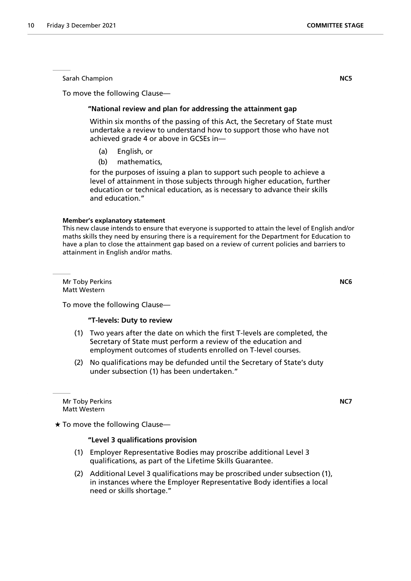Sarah Champion **NC5**

To move the following Clause—

# **"National review and plan for addressing the attainment gap**

 Within six months of the passing of this Act, the Secretary of State must undertake a review to understand how to support those who have not achieved grade 4 or above in GCSEs in—

- (a) English, or
- (b) mathematics,

for the purposes of issuing a plan to support such people to achieve a level of attainment in those subjects through higher education, further education or technical education, as is necessary to advance their skills and education."

#### **Member's explanatory statement**

This new clause intends to ensure that everyone is supported to attain the level of English and/or maths skills they need by ensuring there is a requirement for the Department for Education to have a plan to close the attainment gap based on a review of current policies and barriers to attainment in English and/or maths.

Mr Toby Perkins **NC6** Matt Western

To move the following Clause—

#### **"T-levels: Duty to review**

- (1) Two years after the date on which the first T-levels are completed, the Secretary of State must perform a review of the education and employment outcomes of students enrolled on T-level courses.
- (2) No qualifications may be defunded until the Secretary of State's duty under subsection (1) has been undertaken."

Mr Toby Perkins **NC7** Matt Western

 $\star$  To move the following Clause—

# **"Level 3 qualifications provision**

- (1) Employer Representative Bodies may proscribe additional Level 3 qualifications, as part of the Lifetime Skills Guarantee.
- (2) Additional Level 3 qualifications may be proscribed under subsection (1), in instances where the Employer Representative Body identifies a local need or skills shortage."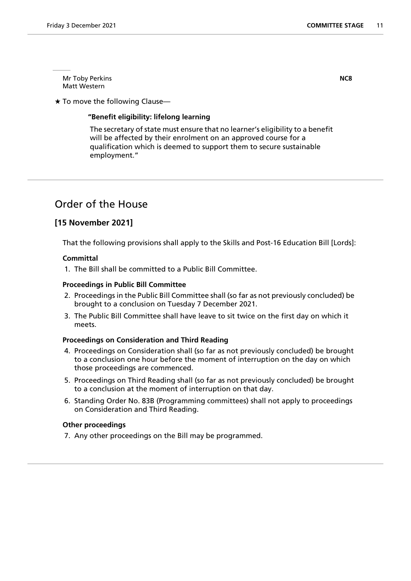Mr Toby Perkins **NC8** Matt Western

 $\star$  To move the following Clause-

# **"Benefit eligibility: lifelong learning**

 The secretary of state must ensure that no learner's eligibility to a benefit will be affected by their enrolment on an approved course for a qualification which is deemed to support them to secure sustainable employment."

# Order of the House

# **[15 November 2021]**

That the following provisions shall apply to the Skills and Post-16 Education Bill [Lords]:

## **Committal**

1. The Bill shall be committed to a Public Bill Committee.

#### **Proceedings in Public Bill Committee**

- 2. Proceedings in the Public Bill Committee shall (so far as not previously concluded) be brought to a conclusion on Tuesday 7 December 2021.
- 3. The Public Bill Committee shall have leave to sit twice on the first day on which it meets.

#### **Proceedings on Consideration and Third Reading**

- 4. Proceedings on Consideration shall (so far as not previously concluded) be brought to a conclusion one hour before the moment of interruption on the day on which those proceedings are commenced.
- 5. Proceedings on Third Reading shall (so far as not previously concluded) be brought to a conclusion at the moment of interruption on that day.
- 6. Standing Order No. 83B (Programming committees) shall not apply to proceedings on Consideration and Third Reading.

#### **Other proceedings**

7. Any other proceedings on the Bill may be programmed.